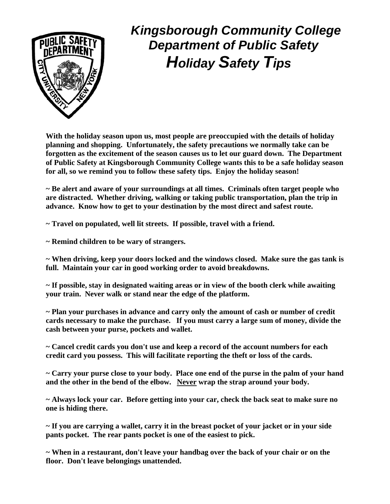

## *Kingsborough Community College Department of Public Safety Holiday Safety Tips*

**With the holiday season upon us, most people are preoccupied with the details of holiday planning and shopping. Unfortunately, the safety precautions we normally take can be forgotten as the excitement of the season causes us to let our guard down. The Department of Public Safety at Kingsborough Community College wants this to be a safe holiday season for all, so we remind you to follow these safety tips. Enjoy the holiday season!** 

**~ Be alert and aware of your surroundings at all times. Criminals often target people who are distracted. Whether driving, walking or taking public transportation, plan the trip in advance. Know how to get to your destination by the most direct and safest route.** 

**~ Travel on populated, well lit streets. If possible, travel with a friend.** 

**~ Remind children to be wary of strangers.** 

**~ When driving, keep your doors locked and the windows closed. Make sure the gas tank is full. Maintain your car in good working order to avoid breakdowns.** 

**~ If possible, stay in designated waiting areas or in view of the booth clerk while awaiting your train. Never walk or stand near the edge of the platform.** 

**~ Plan your purchases in advance and carry only the amount of cash or number of credit cards necessary to make the purchase. If you must carry a large sum of money, divide the cash between your purse, pockets and wallet.** 

**~ Cancel credit cards you don't use and keep a record of the account numbers for each credit card you possess. This will facilitate reporting the theft or loss of the cards.** 

**~ Carry your purse close to your body. Place one end of the purse in the palm of your hand and the other in the bend of the elbow. Never wrap the strap around your body.** 

**~ Always lock your car. Before getting into your car, check the back seat to make sure no one is hiding there.** 

**~ If you are carrying a wallet, carry it in the breast pocket of your jacket or in your side pants pocket. The rear pants pocket is one of the easiest to pick.** 

**~ When in a restaurant, don't leave your handbag over the back of your chair or on the floor. Don't leave belongings unattended.**